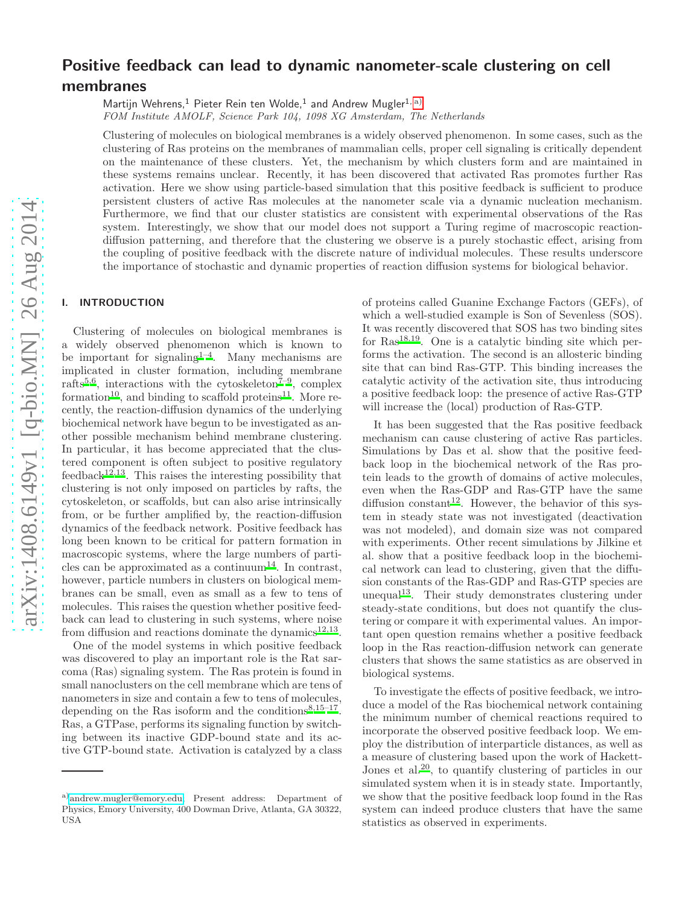# Positive feedback can lead to dynamic nanometer-scale clustering on cell membranes

Martijn Wehrens, $^1$  Pieter Rein ten Wolde, $^1$  and Andrew Mugler $^{1,\mathrm{a})}$ FOM Institute AMOLF, Science Park 104, 1098 XG Amsterdam, The Netherlands

Clustering of molecules on biological membranes is a widely observed phenomenon. In some cases, such as the clustering of Ras proteins on the membranes of mammalian cells, proper cell signaling is critically dependent on the maintenance of these clusters. Yet, the mechanism by which clusters form and are maintained in these systems remains unclear. Recently, it has been discovered that activated Ras promotes further Ras activation. Here we show using particle-based simulation that this positive feedback is sufficient to produce persistent clusters of active Ras molecules at the nanometer scale via a dynamic nucleation mechanism. Furthermore, we find that our cluster statistics are consistent with experimental observations of the Ras system. Interestingly, we show that our model does not support a Turing regime of macroscopic reactiondiffusion patterning, and therefore that the clustering we observe is a purely stochastic effect, arising from the coupling of positive feedback with the discrete nature of individual molecules. These results underscore the importance of stochastic and dynamic properties of reaction diffusion systems for biological behavior.

# I. INTRODUCTION

Clustering of molecules on biological membranes is a widely observed phenomenon which is known to be important for signaling<sup>[1](#page-13-0)-4</sup>. Many mechanisms are implicated in cluster formation, including membrane rafts<sup>[5](#page-13-2)[,6](#page-13-3)</sup>, i[n](#page-13-4)teractions with the cytoskeleton<sup> $\bar{7}-9$ </sup>, complex formation<sup>[10](#page-13-6)</sup>, and binding to scaffold proteins<sup>[11](#page-13-7)</sup>. More recently, the reaction-diffusion dynamics of the underlying biochemical network have begun to be investigated as another possible mechanism behind membrane clustering. In particular, it has become appreciated that the clustered component is often subject to positive regulatory  $f$ eedback<sup>[12](#page-13-8)[,13](#page-13-9)</sup>. This raises the interesting possibility that clustering is not only imposed on particles by rafts, the cytoskeleton, or scaffolds, but can also arise intrinsically from, or be further amplified by, the reaction-diffusion dynamics of the feedback network. Positive feedback has long been known to be critical for pattern formation in macroscopic systems, where the large numbers of parti-cles can be approximated as a continuum<sup>[14](#page-13-10)</sup>. In contrast, however, particle numbers in clusters on biological membranes can be small, even as small as a few to tens of molecules. This raises the question whether positive feedback can lead to clustering in such systems, where noise from diffusion and reactions dominate the dynamics<sup>[12](#page-13-8)[,13](#page-13-9)</sup>.

One of the model systems in which positive feedback was discovered to play an important role is the Rat sarcoma (Ras) signaling system. The Ras protein is found in small nanoclusters on the cell membrane which are tens of nanometers in size and contain a few to tens of molecules, depending on the Ras isoform and the conditions<sup>[8](#page-13-11)[,15](#page-13-12)[–17](#page-13-13)</sup>. Ras, a GTPase, performs its signaling function by switching between its inactive GDP-bound state and its active GTP-bound state. Activation is catalyzed by a class

of proteins called Guanine Exchange Factors (GEFs), of which a well-studied example is Son of Sevenless (SOS). It was recently discovered that SOS has two binding sites for  $\text{Ras}^{18,19}$  $\text{Ras}^{18,19}$  $\text{Ras}^{18,19}$  $\text{Ras}^{18,19}$ . One is a catalytic binding site which performs the activation. The second is an allosteric binding site that can bind Ras-GTP. This binding increases the catalytic activity of the activation site, thus introducing a positive feedback loop: the presence of active Ras-GTP will increase the (local) production of Ras-GTP.

It has been suggested that the Ras positive feedback mechanism can cause clustering of active Ras particles. Simulations by Das et al. show that the positive feedback loop in the biochemical network of the Ras protein leads to the growth of domains of active molecules, even when the Ras-GDP and Ras-GTP have the same diffusion constant<sup>[12](#page-13-8)</sup>. However, the behavior of this system in steady state was not investigated (deactivation was not modeled), and domain size was not compared with experiments. Other recent simulations by Jilkine et al. show that a positive feedback loop in the biochemical network can lead to clustering, given that the diffusion constants of the Ras-GDP and Ras-GTP species are unequal<sup>[13](#page-13-9)</sup>. Their study demonstrates clustering under steady-state conditions, but does not quantify the clustering or compare it with experimental values. An important open question remains whether a positive feedback loop in the Ras reaction-diffusion network can generate clusters that shows the same statistics as are observed in biological systems.

To investigate the effects of positive feedback, we introduce a model of the Ras biochemical network containing the minimum number of chemical reactions required to incorporate the observed positive feedback loop. We employ the distribution of interparticle distances, as well as a measure of clustering based upon the work of Hackett-Jones et al.[20](#page-13-16), to quantify clustering of particles in our simulated system when it is in steady state. Importantly, we show that the positive feedback loop found in the Ras system can indeed produce clusters that have the same statistics as observed in experiments.

<span id="page-0-0"></span>a)[andrew.mugler@emory.edu;](mailto:andrew.mugler@emory.edu) Present address: Department of Physics, Emory University, 400 Dowman Drive, Atlanta, GA 30322, USA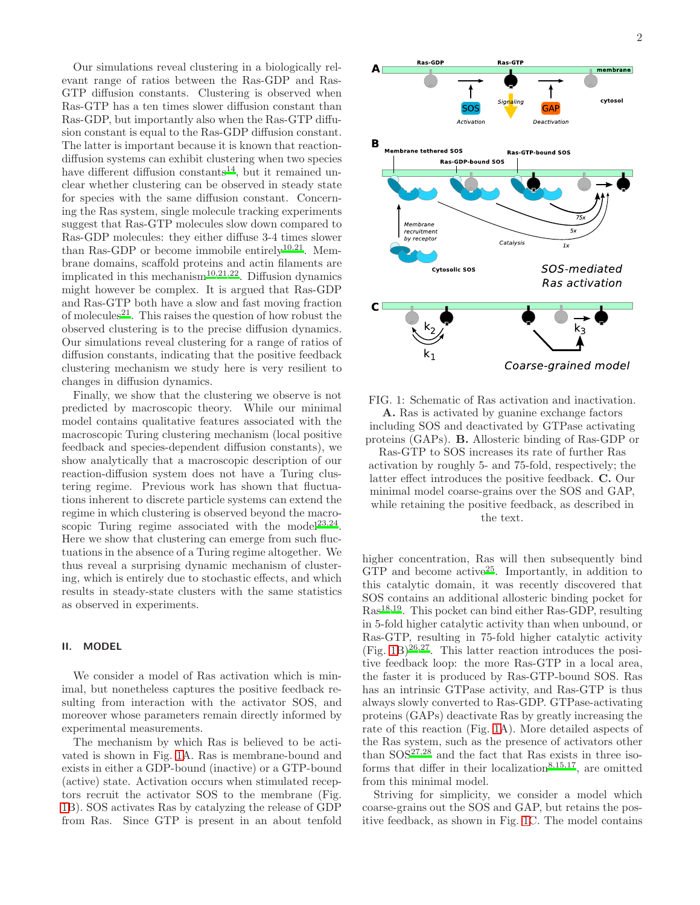Our simulations reveal clustering in a biologically relevant range of ratios between the Ras-GDP and Ras-GTP diffusion constants. Clustering is observed when Ras-GTP has a ten times slower diffusion constant than Ras-GDP, but importantly also when the Ras-GTP diffusion constant is equal to the Ras-GDP diffusion constant. The latter is important because it is known that reactiondiffusion systems can exhibit clustering when two species have different diffusion constants<sup>[14](#page-13-10)</sup>, but it remained unclear whether clustering can be observed in steady state for species with the same diffusion constant. Concerning the Ras system, single molecule tracking experiments suggest that Ras-GTP molecules slow down compared to Ras-GDP molecules: they either diffuse 3-4 times slower than Ras-GDP or become immobile entirely<sup>[10](#page-13-6)[,21](#page-13-17)</sup>. Membrane domains, scaffold proteins and actin filaments are implicated in this mechanism<sup>[10](#page-13-6)[,21](#page-13-17)[,22](#page-13-18)</sup>. Diffusion dynamics might however be complex. It is argued that Ras-GDP and Ras-GTP both have a slow and fast moving fraction of molecules<sup>[21](#page-13-17)</sup>. This raises the question of how robust the observed clustering is to the precise diffusion dynamics. Our simulations reveal clustering for a range of ratios of diffusion constants, indicating that the positive feedback clustering mechanism we study here is very resilient to changes in diffusion dynamics.

Finally, we show that the clustering we observe is not predicted by macroscopic theory. While our minimal model contains qualitative features associated with the macroscopic Turing clustering mechanism (local positive feedback and species-dependent diffusion constants), we show analytically that a macroscopic description of our reaction-diffusion system does not have a Turing clustering regime. Previous work has shown that fluctuations inherent to discrete particle systems can extend the regime in which clustering is observed beyond the macro-scopic Turing regime associated with the model<sup>[23](#page-13-19)[,24](#page-13-20)</sup>. Here we show that clustering can emerge from such fluctuations in the absence of a Turing regime altogether. We thus reveal a surprising dynamic mechanism of clustering, which is entirely due to stochastic effects, and which results in steady-state clusters with the same statistics as observed in experiments.

# II. MODEL

We consider a model of Ras activation which is minimal, but nonetheless captures the positive feedback resulting from interaction with the activator SOS, and moreover whose parameters remain directly informed by experimental measurements.

The mechanism by which Ras is believed to be activated is shown in Fig. [1A](#page-1-0). Ras is membrane-bound and exists in either a GDP-bound (inactive) or a GTP-bound (active) state. Activation occurs when stimulated receptors recruit the activator SOS to the membrane (Fig. [1B](#page-1-0)). SOS activates Ras by catalyzing the release of GDP from Ras. Since GTP is present in an about tenfold

<span id="page-1-0"></span>

FIG. 1: Schematic of Ras activation and inactivation. A. Ras is activated by guanine exchange factors including SOS and deactivated by GTPase activating

proteins (GAPs). B. Allosteric binding of Ras-GDP or Ras-GTP to SOS increases its rate of further Ras

activation by roughly 5- and 75-fold, respectively; the latter effect introduces the positive feedback. C. Our minimal model coarse-grains over the SOS and GAP, while retaining the positive feedback, as described in the text.

higher concentration, Ras will then subsequently bind GTP and become active<sup>[25](#page-13-21)</sup>. Importantly, in addition to this catalytic domain, it was recently discovered that SOS contains an additional allosteric binding pocket for Ras<sup>[18](#page-13-14)[,19](#page-13-15)</sup>. This pocket can bind either Ras-GDP, resulting in 5-fold higher catalytic activity than when unbound, or Ras-GTP, resulting in 75-fold higher catalytic activity  $(Fig. 1B)^{26,27}$  $(Fig. 1B)^{26,27}$  $(Fig. 1B)^{26,27}$  $(Fig. 1B)^{26,27}$  $(Fig. 1B)^{26,27}$  $(Fig. 1B)^{26,27}$ . This latter reaction introduces the positive feedback loop: the more Ras-GTP in a local area, the faster it is produced by Ras-GTP-bound SOS. Ras has an intrinsic GTPase activity, and Ras-GTP is thus always slowly converted to Ras-GDP. GTPase-activating proteins (GAPs) deactivate Ras by greatly increasing the rate of this reaction (Fig. [1A](#page-1-0)). More detailed aspects of the Ras system, such as the presence of activators other than  $SOS^{27,28}$  $SOS^{27,28}$  $SOS^{27,28}$  $SOS^{27,28}$  and the fact that Ras exists in three iso-forms that differ in their localization<sup>[8](#page-13-11)[,15](#page-13-12)[,17](#page-13-13)</sup>, are omitted from this minimal model.

Striving for simplicity, we consider a model which coarse-grains out the SOS and GAP, but retains the positive feedback, as shown in Fig. [1C](#page-1-0). The model contains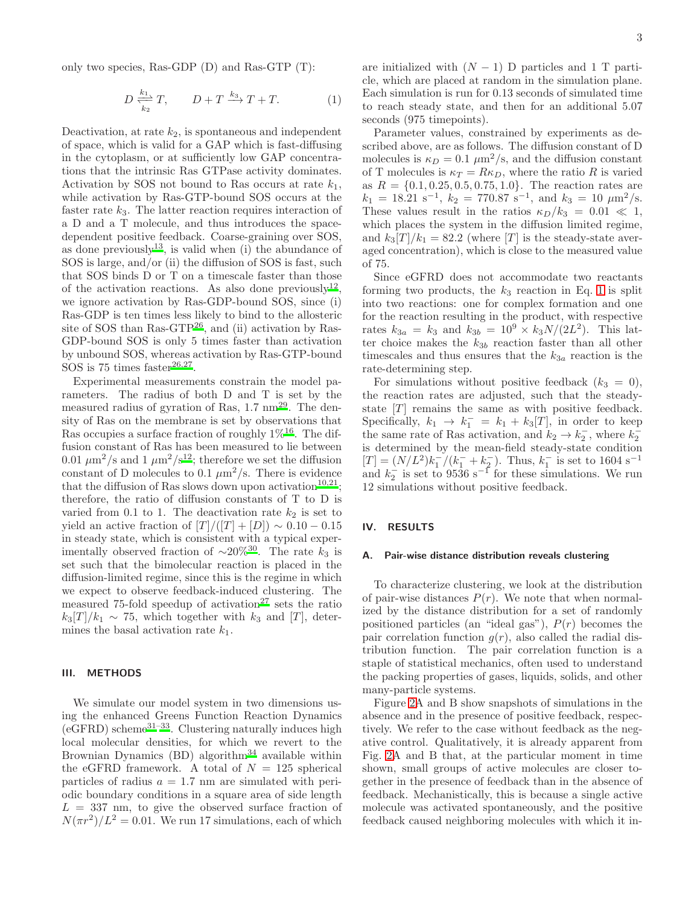only two species, Ras-GDP (D) and Ras-GTP (T):

<span id="page-2-0"></span>
$$
D \frac{k_1}{k_2} T, \qquad D + T \xrightarrow{k_3} T + T. \tag{1}
$$

Deactivation, at rate  $k_2$ , is spontaneous and independent of space, which is valid for a GAP which is fast-diffusing in the cytoplasm, or at sufficiently low GAP concentrations that the intrinsic Ras GTPase activity dominates. Activation by SOS not bound to Ras occurs at rate  $k_1$ , while activation by Ras-GTP-bound SOS occurs at the faster rate  $k_3$ . The latter reaction requires interaction of a D and a T molecule, and thus introduces the spacedependent positive feedback. Coarse-graining over SOS, as done previously<sup>[13](#page-13-9)</sup>, is valid when (i) the abundance of SOS is large, and/or (ii) the diffusion of SOS is fast, such that SOS binds D or T on a timescale faster than those of the activation reactions. As also done previously<sup>[12](#page-13-8)</sup>, we ignore activation by Ras-GDP-bound SOS, since (i) Ras-GDP is ten times less likely to bind to the allosteric site of SOS than Ras-GTP[26](#page-13-22), and (ii) activation by Ras-GDP-bound SOS is only 5 times faster than activation by unbound SOS, whereas activation by Ras-GTP-bound SOS is 75 times faster<sup>[26](#page-13-22)[,27](#page-13-23)</sup>.

Experimental measurements constrain the model parameters. The radius of both D and T is set by the measured radius of gyration of Ras,  $1.7 \text{ nm}^{29}$  $1.7 \text{ nm}^{29}$  $1.7 \text{ nm}^{29}$ . The density of Ras on the membrane is set by observations that Ras occupies a surface fraction of roughly  $1\%^{16}$  $1\%^{16}$  $1\%^{16}$ . The diffusion constant of Ras has been measured to lie between 0.01  $\mu$ m<sup>2</sup>/s and 1  $\mu$ m<sup>2</sup>/s<sup>[12](#page-13-8)</sup>; therefore we set the diffusion constant of D molecules to 0.1  $\mu$ m<sup>2</sup>/s. There is evidence that the diffusion of Ras slows down upon activation<sup>[10](#page-13-6)[,21](#page-13-17)</sup>; therefore, the ratio of diffusion constants of T to D is varied from 0.1 to 1. The deactivation rate  $k_2$  is set to yield an active fraction of  $[T]/([T] + [D]) \sim 0.10 - 0.15$ in steady state, which is consistent with a typical experimentally observed fraction of  $\sim$ 20%<sup>[30](#page-13-27)</sup>. The rate k<sub>3</sub> is set such that the bimolecular reaction is placed in the diffusion-limited regime, since this is the regime in which we expect to observe feedback-induced clustering. The measured 75-fold speedup of activation<sup>[27](#page-13-23)</sup> sets the ratio  $k_3[T]/k_1 \sim 75$ , which together with  $k_3$  and [T], determines the basal activation rate  $k_1$ .

# III. METHODS

We simulate our model system in two dimensions using the enhanced Greens Function Reaction Dynamics  $(eGFRD)$  scheme<sup>[31](#page-13-28)[–33](#page-13-29)</sup>. Clustering naturally induces high local molecular densities, for which we revert to the Brownian Dynamics (BD) algorithm<sup>[34](#page-13-30)</sup> available within the eGFRD framework. A total of  $N = 125$  spherical particles of radius  $a = 1.7$  nm are simulated with periodic boundary conditions in a square area of side length  $L = 337$  nm, to give the observed surface fraction of  $N(\pi r^2)/L^2 = 0.01$ . We run 17 simulations, each of which

are initialized with  $(N - 1)$  D particles and 1 T particle, which are placed at random in the simulation plane. Each simulation is run for 0.13 seconds of simulated time to reach steady state, and then for an additional 5.07 seconds (975 timepoints).

Parameter values, constrained by experiments as described above, are as follows. The diffusion constant of D molecules is  $\kappa_D = 0.1 \ \mu \text{m}^2/\text{s}$ , and the diffusion constant of T molecules is  $\kappa_T = R \kappa_D$ , where the ratio R is varied as  $R = \{0.1, 0.25, 0.5, 0.75, 1.0\}$ . The reaction rates are  $k_1 = 18.21 \text{ s}^{-1}$ ,  $k_2 = 770.87 \text{ s}^{-1}$ , and  $k_3 = 10 \text{ }\mu\text{m}^2/\text{s}$ . These values result in the ratios  $\kappa_D/k_3 = 0.01 \ll 1$ , which places the system in the diffusion limited regime, and  $k_3[T]/k_1 = 82.2$  (where [T] is the steady-state averaged concentration), which is close to the measured value of 75.

Since eGFRD does not accommodate two reactants forming two products, the  $k_3$  reaction in Eq. [1](#page-2-0) is split into two reactions: one for complex formation and one for the reaction resulting in the product, with respective rates  $k_{3a} = k_3$  and  $k_{3b} = 10^9 \times k_3 N/(2L^2)$ . This latter choice makes the  $k_{3b}$  reaction faster than all other timescales and thus ensures that the  $k_{3a}$  reaction is the rate-determining step.

For simulations without positive feedback  $(k_3 = 0)$ , the reaction rates are adjusted, such that the steadystate  $[T]$  remains the same as with positive feedback. Specifically,  $k_1 \rightarrow k_1^- = k_1 + k_3[T]$ , in order to keep the same rate of Ras activation, and  $k_2 \rightarrow k_2^ \frac{1}{2}$ , where  $k_2$ 2 is determined by the mean-field steady-state condition  $[T] = (N/L^2)k_1^ \frac{1}{1}$ / $(k_1^- + k_2^-)$  $^{(-)}_2$ ). Thus,  $k_1^ \frac{1}{1}$  is set to 1604 s<sup>-1</sup> and  $k_2$ <sup> $\overline{)}$ </sup>  $\frac{1}{2}$  is set to 9536 s<sup>-1</sup> for these simulations. We run 12 simulations without positive feedback.

# IV. RESULTS

#### A. Pair-wise distance distribution reveals clustering

To characterize clustering, we look at the distribution of pair-wise distances  $P(r)$ . We note that when normalized by the distance distribution for a set of randomly positioned particles (an "ideal gas"),  $P(r)$  becomes the pair correlation function  $g(r)$ , also called the radial distribution function. The pair correlation function is a staple of statistical mechanics, often used to understand the packing properties of gases, liquids, solids, and other many-particle systems.

Figure [2A](#page-4-0) and B show snapshots of simulations in the absence and in the presence of positive feedback, respectively. We refer to the case without feedback as the negative control. Qualitatively, it is already apparent from Fig. [2A](#page-4-0) and B that, at the particular moment in time shown, small groups of active molecules are closer together in the presence of feedback than in the absence of feedback. Mechanistically, this is because a single active molecule was activated spontaneously, and the positive feedback caused neighboring molecules with which it in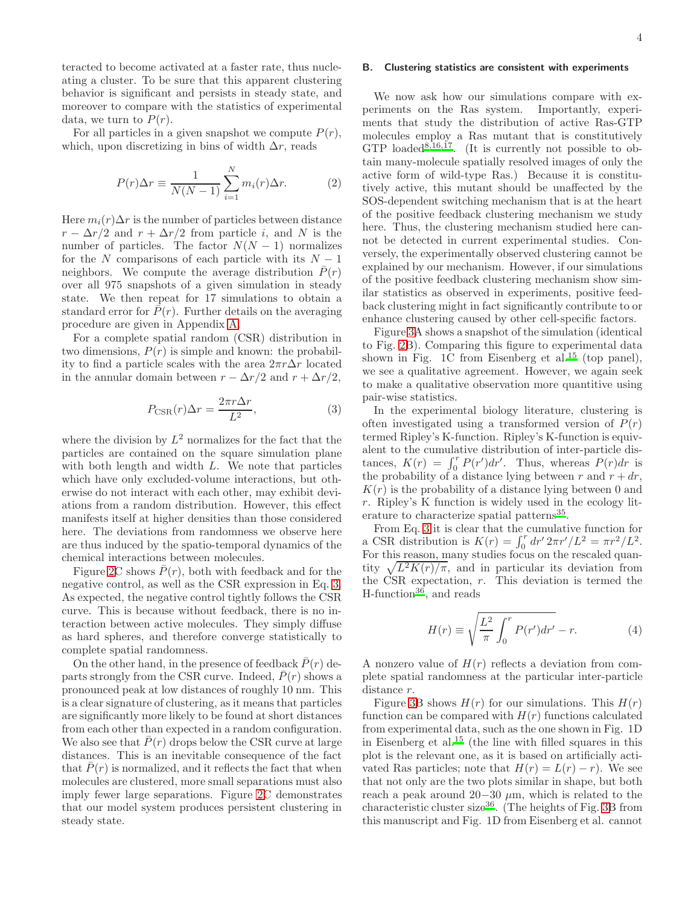teracted to become activated at a faster rate, thus nucleating a cluster. To be sure that this apparent clustering behavior is significant and persists in steady state, and moreover to compare with the statistics of experimental data, we turn to  $P(r)$ .

For all particles in a given snapshot we compute  $P(r)$ , which, upon discretizing in bins of width  $\Delta r$ , reads

$$
P(r)\Delta r \equiv \frac{1}{N(N-1)} \sum_{i=1}^{N} m_i(r) \Delta r.
$$
 (2)

Here  $m_i(r)\Delta r$  is the number of particles between distance  $r - \Delta r/2$  and  $r + \Delta r/2$  from particle *i*, and *N* is the number of particles. The factor  $N(N-1)$  normalizes for the N comparisons of each particle with its  $N-1$ neighbors. We compute the average distribution  $\overline{P}(r)$ over all 975 snapshots of a given simulation in steady state. We then repeat for 17 simulations to obtain a standard error for  $\overline{P}(r)$ . Further details on the averaging procedure are given in Appendix [A.](#page-9-0)

For a complete spatial random (CSR) distribution in two dimensions,  $P(r)$  is simple and known: the probability to find a particle scales with the area  $2\pi r \Delta r$  located in the annular domain between  $r - \Delta r/2$  and  $r + \Delta r/2$ ,

<span id="page-3-0"></span>
$$
P_{\rm CSR}(r)\Delta r = \frac{2\pi r \Delta r}{L^2},\tag{3}
$$

where the division by  $L^2$  normalizes for the fact that the particles are contained on the square simulation plane with both length and width L. We note that particles which have only excluded-volume interactions, but otherwise do not interact with each other, may exhibit deviations from a random distribution. However, this effect manifests itself at higher densities than those considered here. The deviations from randomness we observe here are thus induced by the spatio-temporal dynamics of the chemical interactions between molecules.

Figure [2C](#page-4-0) shows  $\bar{P}(r)$ , both with feedback and for the negative control, as well as the CSR expression in Eq. [3.](#page-3-0) As expected, the negative control tightly follows the CSR curve. This is because without feedback, there is no interaction between active molecules. They simply diffuse as hard spheres, and therefore converge statistically to complete spatial randomness.

On the other hand, in the presence of feedback  $\overline{P}(r)$  departs strongly from the CSR curve. Indeed,  $\overline{P}(r)$  shows a pronounced peak at low distances of roughly 10 nm. This is a clear signature of clustering, as it means that particles are significantly more likely to be found at short distances from each other than expected in a random configuration. We also see that  $\bar{P}(r)$  drops below the CSR curve at large distances. This is an inevitable consequence of the fact that  $P(r)$  is normalized, and it reflects the fact that when molecules are clustered, more small separations must also imply fewer large separations. Figure [2C](#page-4-0) demonstrates that our model system produces persistent clustering in steady state.

## B. Clustering statistics are consistent with experiments

We now ask how our simulations compare with experiments on the Ras system. Importantly, experiments that study the distribution of active Ras-GTP molecules employ a Ras mutant that is constitutively GTP loaded<sup>[8](#page-13-11)[,16](#page-13-26)[,17](#page-13-13)</sup>. (It is currently not possible to obtain many-molecule spatially resolved images of only the active form of wild-type Ras.) Because it is constitutively active, this mutant should be unaffected by the SOS-dependent switching mechanism that is at the heart of the positive feedback clustering mechanism we study here. Thus, the clustering mechanism studied here cannot be detected in current experimental studies. Conversely, the experimentally observed clustering cannot be explained by our mechanism. However, if our simulations of the positive feedback clustering mechanism show similar statistics as observed in experiments, positive feedback clustering might in fact significantly contribute to or enhance clustering caused by other cell-specific factors.

Figure [3A](#page-5-0) shows a snapshot of the simulation (identical to Fig. [2B](#page-4-0)). Comparing this figure to experimental data shown in Fig. 1C from Eisenberg et al.<sup>[15](#page-13-12)</sup> (top panel), we see a qualitative agreement. However, we again seek to make a qualitative observation more quantitive using pair-wise statistics.

In the experimental biology literature, clustering is often investigated using a transformed version of  $P(r)$ termed Ripley's K-function. Ripley's K-function is equivalent to the cumulative distribution of inter-particle distances,  $K(r) = \int_0^r P(r') dr'$ . Thus, whereas  $P(r) dr$  is the probability of a distance lying between r and  $r + dr$ ,  $K(r)$  is the probability of a distance lying between 0 and  $r$ . Ripley's K function is widely used in the ecology lit-erature to characterize spatial patterns<sup>[35](#page-13-31)</sup>.

From Eq. [3](#page-3-0) it is clear that the cumulative function for a CSR distribution is  $K(r) = \int_0^r dr' 2\pi r'/L^2 = \pi r^2/L^2$ . For this reason, many studies focus on the rescaled quantity  $\sqrt{L^2K(r)/\pi}$ , and in particular its deviation from the CSR expectation,  $r$ . This deviation is termed the H-function<sup>[36](#page-13-32)</sup>, and reads

$$
H(r) \equiv \sqrt{\frac{L^2}{\pi} \int_0^r P(r') dr' - r}.
$$
 (4)

A nonzero value of  $H(r)$  reflects a deviation from complete spatial randomness at the particular inter-particle distance r.

Figure [3B](#page-5-0) shows  $H(r)$  for our simulations. This  $H(r)$ function can be compared with  $H(r)$  functions calculated from experimental data, such as the one shown in Fig. 1D in Eisenberg et al. $15$  (the line with filled squares in this plot is the relevant one, as it is based on artificially activated Ras particles; note that  $H(r) = L(r) - r$ . We see that not only are the two plots similar in shape, but both reach a peak around 20−30  $\mu$ m, which is related to the characteristic cluster size<sup>[36](#page-13-32)</sup>. (The heights of Fig. [3B](#page-5-0) from this manuscript and Fig. 1D from Eisenberg et al. cannot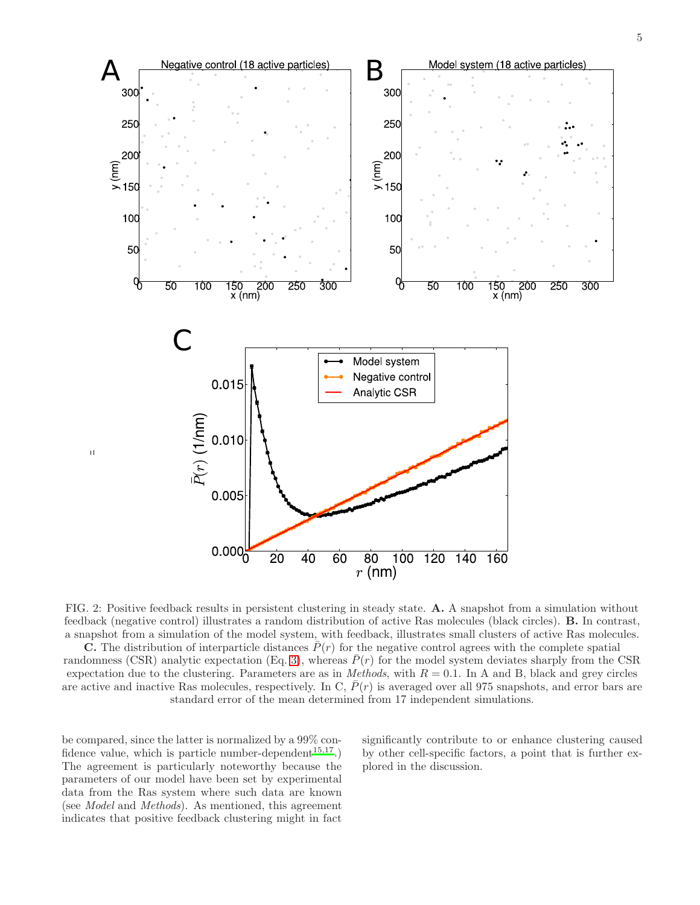<span id="page-4-0"></span>

FIG. 2: Positive feedback results in persistent clustering in steady state. A. A snapshot from a simulation without feedback (negative control) illustrates a random distribution of active Ras molecules (black circles). B. In contrast, a snapshot from a simulation of the model system, with feedback, illustrates small clusters of active Ras molecules.

**C.** The distribution of interparticle distances  $\bar{P}(r)$  for the negative control agrees with the complete spatial randomness (CSR) analytic expectation (Eq. [3\)](#page-3-0), whereas  $P(r)$  for the model system deviates sharply from the CSR expectation due to the clustering. Parameters are as in *Methods*, with  $R = 0.1$ . In A and B, black and grey circles are active and inactive Ras molecules, respectively. In C,  $\bar{P}(r)$  is averaged over all 975 snapshots, and error bars are standard error of the mean determined from 17 independent simulations.

be compared, since the latter is normalized by a 99% con-fidence value, which is particle number-dependent<sup>[15](#page-13-12)[,17](#page-13-13)</sup>.) The agreement is particularly noteworthy because the parameters of our model have been set by experimental data from the Ras system where such data are known (see Model and Methods). As mentioned, this agreement indicates that positive feedback clustering might in fact

significantly contribute to or enhance clustering caused by other cell-specific factors, a point that is further explored in the discussion.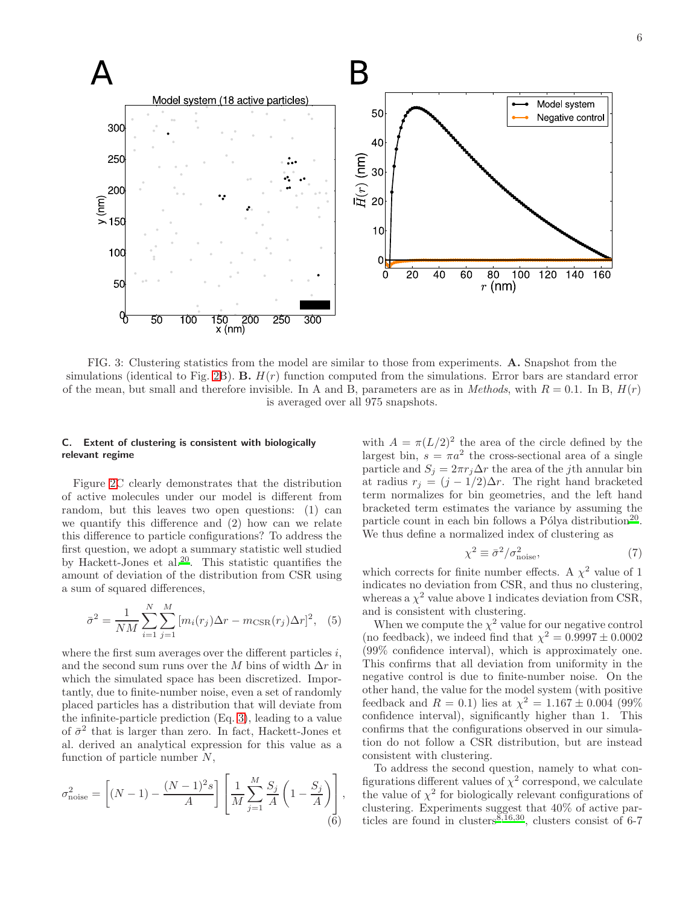<span id="page-5-0"></span>

FIG. 3: Clustering statistics from the model are similar to those from experiments. A. Snapshot from the simulations (identical to Fig. [2B](#page-4-0)). **B.**  $H(r)$  function computed from the simulations. Error bars are standard error of the mean, but small and therefore invisible. In A and B, parameters are as in *Methods*, with  $R = 0.1$ . In B,  $H(r)$ is averaged over all 975 snapshots.

## C. Extent of clustering is consistent with biologically relevant regime

Figure [2C](#page-4-0) clearly demonstrates that the distribution of active molecules under our model is different from random, but this leaves two open questions: (1) can we quantify this difference and (2) how can we relate this difference to particle configurations? To address the first question, we adopt a summary statistic well studied by Hackett-Jones et  $a^{1,20}$  $a^{1,20}$  $a^{1,20}$ . This statistic quantifies the amount of deviation of the distribution from CSR using a sum of squared differences,

<span id="page-5-1"></span>
$$
\bar{\sigma}^2 = \frac{1}{NM} \sum_{i=1}^{N} \sum_{j=1}^{M} [m_i(r_j)\Delta r - m_{\text{CSR}}(r_j)\Delta r]^2, \quad (5)
$$

where the first sum averages over the different particles  $i$ , and the second sum runs over the M bins of width  $\Delta r$  in which the simulated space has been discretized. Importantly, due to finite-number noise, even a set of randomly placed particles has a distribution that will deviate from the infinite-particle prediction (Eq. [3\)](#page-3-0), leading to a value of  $\bar{\sigma}^2$  that is larger than zero. In fact, Hackett-Jones et al. derived an analytical expression for this value as a function of particle number N,

<span id="page-5-2"></span>
$$
\sigma_{\text{noise}}^2 = \left[ (N - 1) - \frac{(N - 1)^2 s}{A} \right] \left[ \frac{1}{M} \sum_{j=1}^M \frac{S_j}{A} \left( 1 - \frac{S_j}{A} \right) \right],
$$
\n(6)

with  $A = \pi (L/2)^2$  the area of the circle defined by the largest bin,  $s = \pi a^2$  the cross-sectional area of a single particle and  $S_i = 2\pi r_i \Delta r$  the area of the jth annular bin at radius  $r_j = (j - 1/2)\Delta r$ . The right hand bracketed term normalizes for bin geometries, and the left hand bracketed term estimates the variance by assuming the particle count in each bin follows a Pólya distribution<sup>[20](#page-13-16)</sup>. We thus define a normalized index of clustering as

<span id="page-5-3"></span>
$$
\chi^2 \equiv \bar{\sigma}^2 / \sigma_{\text{noise}}^2,\tag{7}
$$

which corrects for finite number effects. A  $\chi^2$  value of 1 indicates no deviation from CSR, and thus no clustering, whereas a  $\chi^2$  value above 1 indicates deviation from CSR, and is consistent with clustering.

When we compute the  $\chi^2$  value for our negative control (no feedback), we indeed find that  $\chi^2 = 0.9997 \pm 0.0002$ (99% confidence interval), which is approximately one. This confirms that all deviation from uniformity in the negative control is due to finite-number noise. On the other hand, the value for the model system (with positive feedback and  $R = 0.1$ ) lies at  $\chi^2 = 1.167 \pm 0.004$  (99%) confidence interval), significantly higher than 1. This confirms that the configurations observed in our simulation do not follow a CSR distribution, but are instead consistent with clustering.

To address the second question, namely to what configurations different values of  $\chi^2$  correspond, we calculate the value of  $\chi^2$  for biologically relevant configurations of clustering. Experiments suggest that 40% of active par-ticles are found in clusters<sup>[8](#page-13-11)[,16](#page-13-26)[,30](#page-13-27)</sup>, clusters consist of 6-7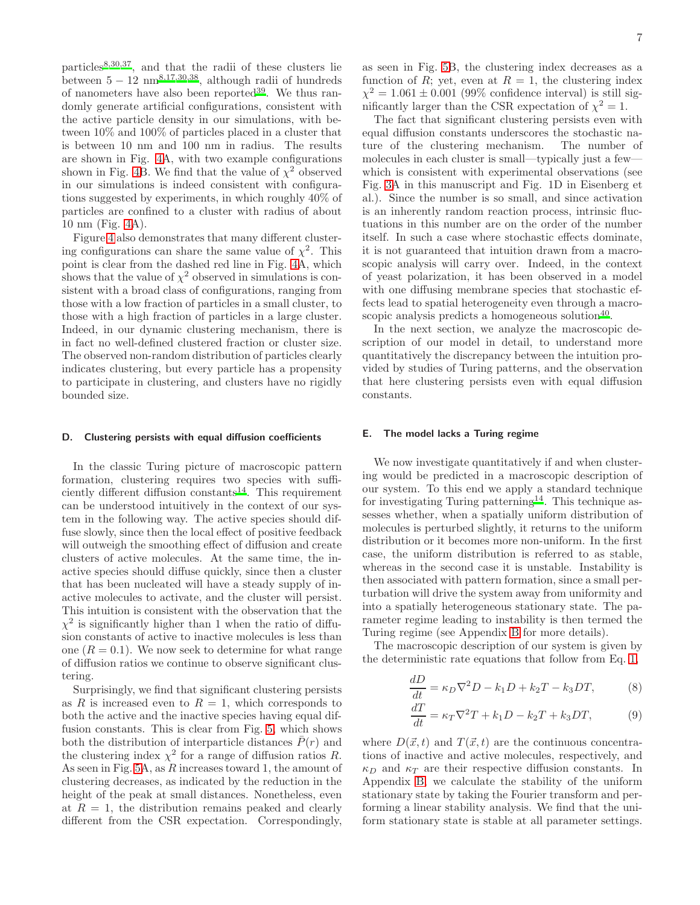particles $8,30,37$  $8,30,37$  $8,30,37$ , and that the radii of these clusters lie between  $5 - 12 \text{ nm}^{8,17,30,38}$  $5 - 12 \text{ nm}^{8,17,30,38}$  $5 - 12 \text{ nm}^{8,17,30,38}$  $5 - 12 \text{ nm}^{8,17,30,38}$  $5 - 12 \text{ nm}^{8,17,30,38}$  $5 - 12 \text{ nm}^{8,17,30,38}$ , although radii of hundreds of nanometers have also been reported<sup>[39](#page-13-35)</sup>. We thus randomly generate artificial configurations, consistent with the active particle density in our simulations, with between 10% and 100% of particles placed in a cluster that is between 10 nm and 100 nm in radius. The results are shown in Fig. [4A](#page-7-0), with two example configurations shown in Fig. [4B](#page-7-0). We find that the value of  $\chi^2$  observed in our simulations is indeed consistent with configurations suggested by experiments, in which roughly 40% of particles are confined to a cluster with radius of about 10 nm (Fig. [4A](#page-7-0)).

Figure [4](#page-7-0) also demonstrates that many different clustering configurations can share the same value of  $\chi^2$ . This point is clear from the dashed red line in Fig. [4A](#page-7-0), which shows that the value of  $\chi^2$  observed in simulations is consistent with a broad class of configurations, ranging from those with a low fraction of particles in a small cluster, to those with a high fraction of particles in a large cluster. Indeed, in our dynamic clustering mechanism, there is in fact no well-defined clustered fraction or cluster size. The observed non-random distribution of particles clearly indicates clustering, but every particle has a propensity to participate in clustering, and clusters have no rigidly bounded size.

#### D. Clustering persists with equal diffusion coefficients

In the classic Turing picture of macroscopic pattern formation, clustering requires two species with suffi-ciently different diffusion constants<sup>[14](#page-13-10)</sup>. This requirement can be understood intuitively in the context of our system in the following way. The active species should diffuse slowly, since then the local effect of positive feedback will outweigh the smoothing effect of diffusion and create clusters of active molecules. At the same time, the inactive species should diffuse quickly, since then a cluster that has been nucleated will have a steady supply of inactive molecules to activate, and the cluster will persist. This intuition is consistent with the observation that the  $\chi^2$  is significantly higher than 1 when the ratio of diffusion constants of active to inactive molecules is less than one  $(R = 0.1)$ . We now seek to determine for what range of diffusion ratios we continue to observe significant clustering.

Surprisingly, we find that significant clustering persists as R is increased even to  $R = 1$ , which corresponds to both the active and the inactive species having equal diffusion constants. This is clear from Fig. [5,](#page-7-1) which shows both the distribution of interparticle distances  $\bar{P}(r)$  and the clustering index  $\chi^2$  for a range of diffusion ratios R. As seen in Fig. [5A](#page-7-1), as R increases toward 1, the amount of clustering decreases, as indicated by the reduction in the height of the peak at small distances. Nonetheless, even at  $R = 1$ , the distribution remains peaked and clearly different from the CSR expectation. Correspondingly,

as seen in Fig. [5B](#page-7-1), the clustering index decreases as a function of R; yet, even at  $R = 1$ , the clustering index  $\chi^2 = 1.061 \pm 0.001$  (99% confidence interval) is still significantly larger than the CSR expectation of  $\chi^2 = 1$ .

The fact that significant clustering persists even with equal diffusion constants underscores the stochastic nature of the clustering mechanism. The number of molecules in each cluster is small—typically just a few which is consistent with experimental observations (see Fig. [3A](#page-5-0) in this manuscript and Fig. 1D in Eisenberg et al.). Since the number is so small, and since activation is an inherently random reaction process, intrinsic fluctuations in this number are on the order of the number itself. In such a case where stochastic effects dominate, it is not guaranteed that intuition drawn from a macroscopic analysis will carry over. Indeed, in the context of yeast polarization, it has been observed in a model with one diffusing membrane species that stochastic effects lead to spatial heterogeneity even through a macro-scopic analysis predicts a homogeneous solution<sup>[40](#page-13-36)</sup>.

In the next section, we analyze the macroscopic description of our model in detail, to understand more quantitatively the discrepancy between the intuition provided by studies of Turing patterns, and the observation that here clustering persists even with equal diffusion constants.

## E. The model lacks a Turing regime

We now investigate quantitatively if and when clustering would be predicted in a macroscopic description of our system. To this end we apply a standard technique for investigating Turing patterning<sup>[14](#page-13-10)</sup>. This technique assesses whether, when a spatially uniform distribution of molecules is perturbed slightly, it returns to the uniform distribution or it becomes more non-uniform. In the first case, the uniform distribution is referred to as stable, whereas in the second case it is unstable. Instability is then associated with pattern formation, since a small perturbation will drive the system away from uniformity and into a spatially heterogeneous stationary state. The parameter regime leading to instability is then termed the Turing regime (see Appendix [B](#page-10-0) for more details).

The macroscopic description of our system is given by the deterministic rate equations that follow from Eq. [1,](#page-2-0)

<span id="page-6-0"></span>
$$
\frac{dD}{dt} = \kappa_D \nabla^2 D - k_1 D + k_2 T - k_3 DT,\tag{8}
$$

$$
\frac{dT}{dt} = \kappa_T \nabla^2 T + k_1 D - k_2 T + k_3 DT,\tag{9}
$$

where  $D(\vec{x}, t)$  and  $T(\vec{x}, t)$  are the continuous concentrations of inactive and active molecules, respectively, and  $\kappa_D$  and  $\kappa_T$  are their respective diffusion constants. In Appendix [B,](#page-10-0) we calculate the stability of the uniform stationary state by taking the Fourier transform and performing a linear stability analysis. We find that the uniform stationary state is stable at all parameter settings.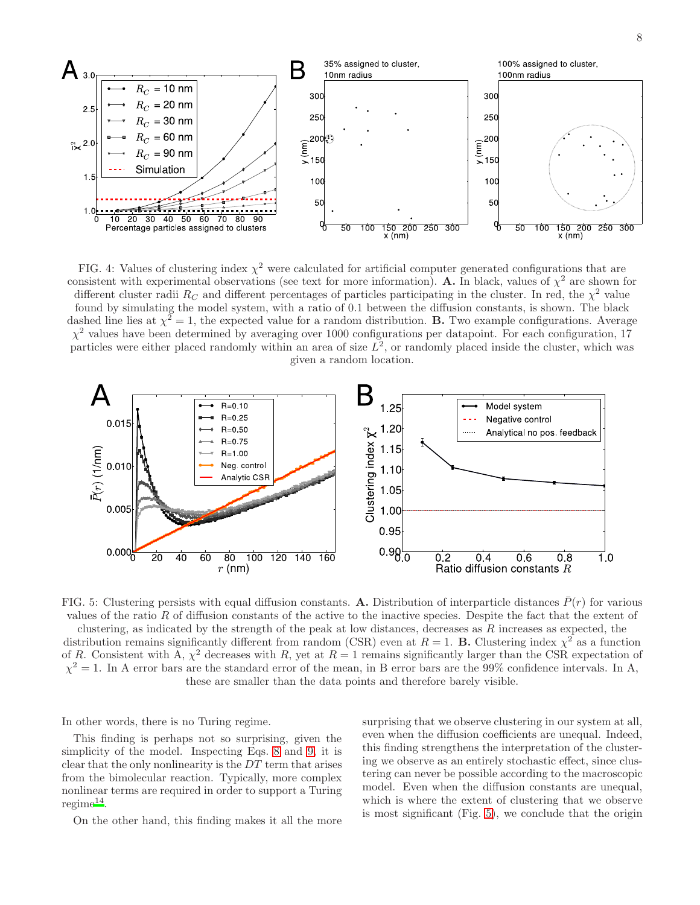<span id="page-7-0"></span>

FIG. 4: Values of clustering index  $\chi^2$  were calculated for artificial computer generated configurations that are consistent with experimental observations (see text for more information). A. In black, values of  $\chi^2$  are shown for different cluster radii  $R_C$  and different percentages of particles participating in the cluster. In red, the  $\chi^2$  value found by simulating the model system, with a ratio of 0.1 between the diffusion constants, is shown. The black

dashed line lies at  $\chi^2 = 1$ , the expected value for a random distribution. **B.** Two example configurations. Average  $\chi^2$  values have been determined by averaging over 1000 configurations per datapoint. For each configuration, 17 particles were either placed randomly within an area of size  $L^2$ , or randomly placed inside the cluster, which was given a random location.

<span id="page-7-1"></span>

FIG. 5: Clustering persists with equal diffusion constants. A. Distribution of interparticle distances  $P(r)$  for various values of the ratio  $R$  of diffusion constants of the active to the inactive species. Despite the fact that the extent of

clustering, as indicated by the strength of the peak at low distances, decreases as  $R$  increases as expected, the distribution remains significantly different from random (CSR) even at  $R = 1$ . **B.** Clustering index  $\chi^2$  as a function of R. Consistent with A,  $\chi^2$  decreases with R, yet at  $R = 1$  remains significantly larger than the CSR expectation of  $\chi^2 = 1$ . In A error bars are the standard error of the mean, in B error bars are the 99% confidence intervals. In A, these are smaller than the data points and therefore barely visible.

In other words, there is no Turing regime.

This finding is perhaps not so surprising, given the simplicity of the model. Inspecting Eqs. [8](#page-6-0) and [9,](#page-6-0) it is clear that the only nonlinearity is the DT term that arises from the bimolecular reaction. Typically, more complex nonlinear terms are required in order to support a Turing  $regime<sup>14</sup>$  $regime<sup>14</sup>$  $regime<sup>14</sup>$ .

On the other hand, this finding makes it all the more

surprising that we observe clustering in our system at all, even when the diffusion coefficients are unequal. Indeed, this finding strengthens the interpretation of the clustering we observe as an entirely stochastic effect, since clustering can never be possible according to the macroscopic model. Even when the diffusion constants are unequal, which is where the extent of clustering that we observe is most significant (Fig. [5\)](#page-7-1), we conclude that the origin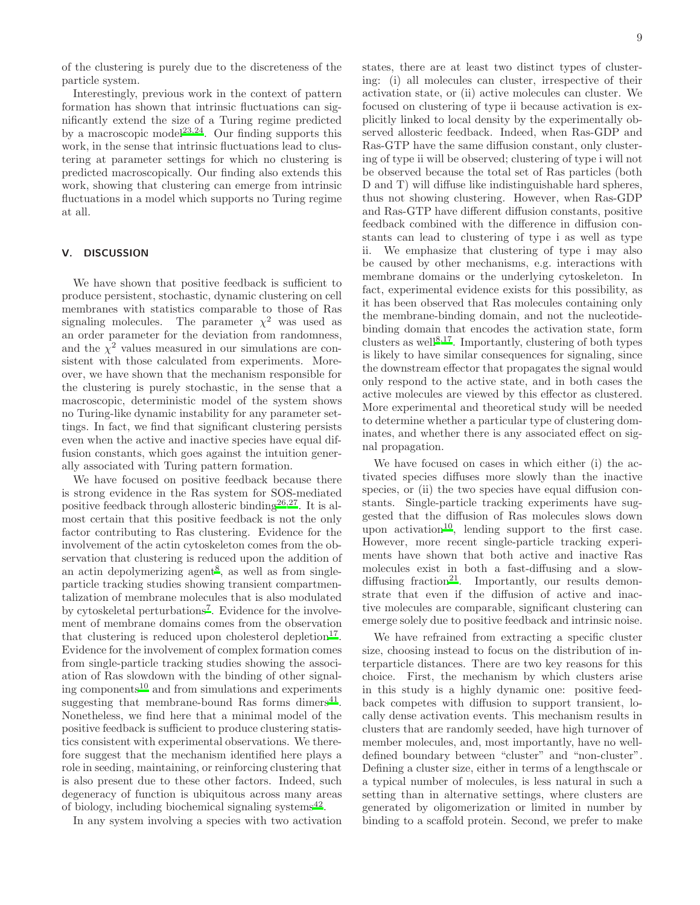of the clustering is purely due to the discreteness of the particle system.

Interestingly, previous work in the context of pattern formation has shown that intrinsic fluctuations can significantly extend the size of a Turing regime predicted by a macroscopic model<sup>[23](#page-13-19)[,24](#page-13-20)</sup>. Our finding supports this work, in the sense that intrinsic fluctuations lead to clustering at parameter settings for which no clustering is predicted macroscopically. Our finding also extends this work, showing that clustering can emerge from intrinsic fluctuations in a model which supports no Turing regime at all.

# V. DISCUSSION

We have shown that positive feedback is sufficient to produce persistent, stochastic, dynamic clustering on cell membranes with statistics comparable to those of Ras signaling molecules. The parameter  $\chi^2$  was used as an order parameter for the deviation from randomness, and the  $\chi^2$  values measured in our simulations are consistent with those calculated from experiments. Moreover, we have shown that the mechanism responsible for the clustering is purely stochastic, in the sense that a macroscopic, deterministic model of the system shows no Turing-like dynamic instability for any parameter settings. In fact, we find that significant clustering persists even when the active and inactive species have equal diffusion constants, which goes against the intuition generally associated with Turing pattern formation.

We have focused on positive feedback because there is strong evidence in the Ras system for SOS-mediated positive feedback through allosteric binding $26,27$  $26,27$ . It is almost certain that this positive feedback is not the only factor contributing to Ras clustering. Evidence for the involvement of the actin cytoskeleton comes from the observation that clustering is reduced upon the addition of an actin depolymerizing agent<sup>[8](#page-13-11)</sup>, as well as from singleparticle tracking studies showing transient compartmentalization of membrane molecules that is also modulated by cytoskeletal perturbations<sup>[7](#page-13-4)</sup>. Evidence for the involvement of membrane domains comes from the observation that clustering is reduced upon cholesterol depletion $17$ . Evidence for the involvement of complex formation comes from single-particle tracking studies showing the association of Ras slowdown with the binding of other signaling components $10$  and from simulations and experiments suggesting that membrane-bound Ras forms dimers<sup>[41](#page-13-37)</sup>. Nonetheless, we find here that a minimal model of the positive feedback is sufficient to produce clustering statistics consistent with experimental observations. We therefore suggest that the mechanism identified here plays a role in seeding, maintaining, or reinforcing clustering that is also present due to these other factors. Indeed, such degeneracy of function is ubiquitous across many areas of biology, including biochemical signaling systems $^{42}$  $^{42}$  $^{42}$ .

In any system involving a species with two activation

states, there are at least two distinct types of clustering: (i) all molecules can cluster, irrespective of their activation state, or (ii) active molecules can cluster. We focused on clustering of type ii because activation is explicitly linked to local density by the experimentally observed allosteric feedback. Indeed, when Ras-GDP and Ras-GTP have the same diffusion constant, only clustering of type ii will be observed; clustering of type i will not be observed because the total set of Ras particles (both D and T) will diffuse like indistinguishable hard spheres, thus not showing clustering. However, when Ras-GDP and Ras-GTP have different diffusion constants, positive feedback combined with the difference in diffusion constants can lead to clustering of type i as well as type ii. We emphasize that clustering of type i may also be caused by other mechanisms, e.g. interactions with membrane domains or the underlying cytoskeleton. In fact, experimental evidence exists for this possibility, as it has been observed that Ras molecules containing only the membrane-binding domain, and not the nucleotidebinding domain that encodes the activation state, form clusters as well<sup>[8](#page-13-11)[,17](#page-13-13)</sup>. Importantly, clustering of both types is likely to have similar consequences for signaling, since the downstream effector that propagates the signal would only respond to the active state, and in both cases the active molecules are viewed by this effector as clustered. More experimental and theoretical study will be needed to determine whether a particular type of clustering dominates, and whether there is any associated effect on signal propagation.

We have focused on cases in which either (i) the activated species diffuses more slowly than the inactive species, or (ii) the two species have equal diffusion constants. Single-particle tracking experiments have suggested that the diffusion of Ras molecules slows down upon activation<sup>[10](#page-13-6)</sup>, lending support to the first case. However, more recent single-particle tracking experiments have shown that both active and inactive Ras molecules exist in both a fast-diffusing and a slow-diffusing fraction<sup>[21](#page-13-17)</sup>. Importantly, our results demonstrate that even if the diffusion of active and inactive molecules are comparable, significant clustering can emerge solely due to positive feedback and intrinsic noise.

We have refrained from extracting a specific cluster size, choosing instead to focus on the distribution of interparticle distances. There are two key reasons for this choice. First, the mechanism by which clusters arise in this study is a highly dynamic one: positive feedback competes with diffusion to support transient, locally dense activation events. This mechanism results in clusters that are randomly seeded, have high turnover of member molecules, and, most importantly, have no welldefined boundary between "cluster" and "non-cluster". Defining a cluster size, either in terms of a lengthscale or a typical number of molecules, is less natural in such a setting than in alternative settings, where clusters are generated by oligomerization or limited in number by binding to a scaffold protein. Second, we prefer to make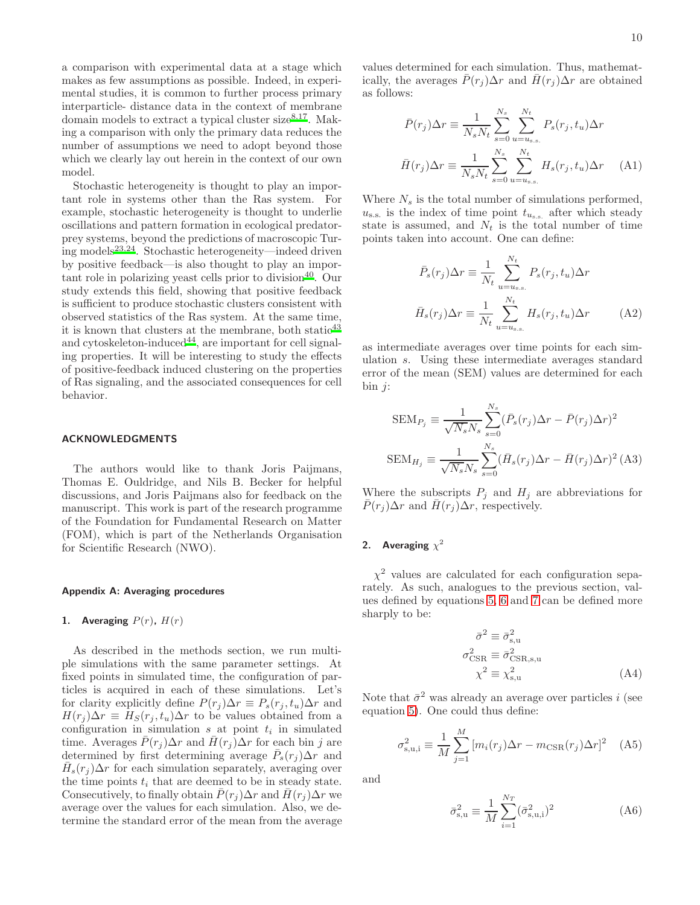a comparison with experimental data at a stage which makes as few assumptions as possible. Indeed, in experimental studies, it is common to further process primary interparticle- distance data in the context of membrane domain models to extract a typical cluster size  $8,17$  $8,17$ . Making a comparison with only the primary data reduces the number of assumptions we need to adopt beyond those which we clearly lay out herein in the context of our own model.

Stochastic heterogeneity is thought to play an important role in systems other than the Ras system. For example, stochastic heterogeneity is thought to underlie oscillations and pattern formation in ecological predatorprey systems, beyond the predictions of macroscopic Turing models[23](#page-13-19)[,24](#page-13-20). Stochastic heterogeneity—indeed driven by positive feedback—is also thought to play an impor-tant role in polarizing yeast cells prior to division<sup>[40](#page-13-36)</sup>. Our study extends this field, showing that positive feedback is sufficient to produce stochastic clusters consistent with observed statistics of the Ras system. At the same time, it is known that clusters at the membrane, both static<sup>[43](#page-13-39)</sup> and cytoskeleton-induced $44$ , are important for cell signaling properties. It will be interesting to study the effects of positive-feedback induced clustering on the properties of Ras signaling, and the associated consequences for cell behavior.

## ACKNOWLEDGMENTS

The authors would like to thank Joris Paijmans, Thomas E. Ouldridge, and Nils B. Becker for helpful discussions, and Joris Paijmans also for feedback on the manuscript. This work is part of the research programme of the Foundation for Fundamental Research on Matter (FOM), which is part of the Netherlands Organisation for Scientific Research (NWO).

#### <span id="page-9-0"></span>Appendix A: Averaging procedures

## 1. Averaging  $P(r)$ ,  $H(r)$

As described in the methods section, we run multiple simulations with the same parameter settings. At fixed points in simulated time, the configuration of particles is acquired in each of these simulations. Let's for clarity explicitly define  $P(r_j) \Delta r \equiv P_s(r_j, t_u) \Delta r$  and  $H(r_i)\Delta r \equiv H_S(r_i, t_u)\Delta r$  to be values obtained from a configuration in simulation  $s$  at point  $t_i$  in simulated time. Averages  $\bar{P}(r_i) \Delta r$  and  $\bar{H}(r_i) \Delta r$  for each bin j are determined by first determining average  $\bar{P}_s(r_j) \Delta r$  and  $\bar{H}_s(r_j)\Delta r$  for each simulation separately, averaging over the time points  $t_i$  that are deemed to be in steady state. Consecutively, to finally obtain  $P(r_i) \Delta r$  and  $H(r_i) \Delta r$  we average over the values for each simulation. Also, we determine the standard error of the mean from the average

values determined for each simulation. Thus, mathematically, the averages  $\overline{P}(r_i) \Delta r$  and  $\overline{H}(r_i) \Delta r$  are obtained as follows:

$$
\bar{P}(r_j)\Delta r \equiv \frac{1}{N_s N_t} \sum_{s=0}^{N_s} \sum_{u=u_{\rm s.s.}}^{N_t} P_s(r_j, t_u) \Delta r
$$

$$
\bar{H}(r_j)\Delta r \equiv \frac{1}{N_s N_t} \sum_{s=0}^{N_s} \sum_{u=u_{\rm s.s.}}^{N_t} H_s(r_j, t_u) \Delta r \quad \text{(A1)}
$$

Where  $N_s$  is the total number of simulations performed,  $u_{\rm s.s.}$  is the index of time point  $t_{u_{\rm s.s.}}$  after which steady state is assumed, and  $N_t$  is the total number of time points taken into account. One can define:

$$
\bar{P}_s(r_j)\Delta r \equiv \frac{1}{N_t} \sum_{u=u_{\rm s.s.}}^{N_t} P_s(r_j, t_u)\Delta r
$$

$$
\bar{H}_s(r_j)\Delta r \equiv \frac{1}{N_t} \sum_{u=u_{\rm s.s.}}^{N_t} H_s(r_j, t_u)\Delta r
$$
(A2)

as intermediate averages over time points for each simulation s. Using these intermediate averages standard error of the mean (SEM) values are determined for each bin  $\dot{\mathbf{i}}$ :

$$
\text{SEM}_{P_j} \equiv \frac{1}{\sqrt{N_s} N_s} \sum_{s=0}^{N_s} (\bar{P}_s(r_j) \Delta r - \bar{P}(r_j) \Delta r)^2
$$

$$
\text{SEM}_{H_j} \equiv \frac{1}{\sqrt{N_s} N_s} \sum_{s=0}^{N_s} (\bar{H}_s(r_j) \Delta r - \bar{H}(r_j) \Delta r)^2 \text{ (A3)}
$$

Where the subscripts  $P_j$  and  $H_j$  are abbreviations for  $P(r_i) \Delta r$  and  $H(r_i) \Delta r$ , respectively.

# 2. Averaging  $\chi^2$

 $\chi^2$  values are calculated for each configuration separately. As such, analogues to the previous section, values defined by equations [5,](#page-5-1) [6](#page-5-2) and [7](#page-5-3) can be defined more sharply to be:

<span id="page-9-1"></span>
$$
\bar{\sigma}^2 \equiv \bar{\sigma}_{s,u}^2
$$
  
\n
$$
\sigma_{\text{CSR}}^2 \equiv \bar{\sigma}_{\text{CSR,s,u}}^2
$$
  
\n
$$
\chi^2 \equiv \chi_{s,u}^2
$$
\n(A4)

Note that  $\bar{\sigma}^2$  was already an average over particles i (see equation [5\)](#page-5-1). One could thus define:

$$
\sigma_{s,u,i}^2 \equiv \frac{1}{M} \sum_{j=1}^{M} \left[ m_i(r_j) \Delta r - m_{\text{CSR}}(r_j) \Delta r \right]^2 \quad \text{(A5)}
$$

and

$$
\bar{\sigma}_{s,u}^2 \equiv \frac{1}{M} \sum_{i=1}^{N_T} (\bar{\sigma}_{s,u,i}^2)^2
$$
 (A6)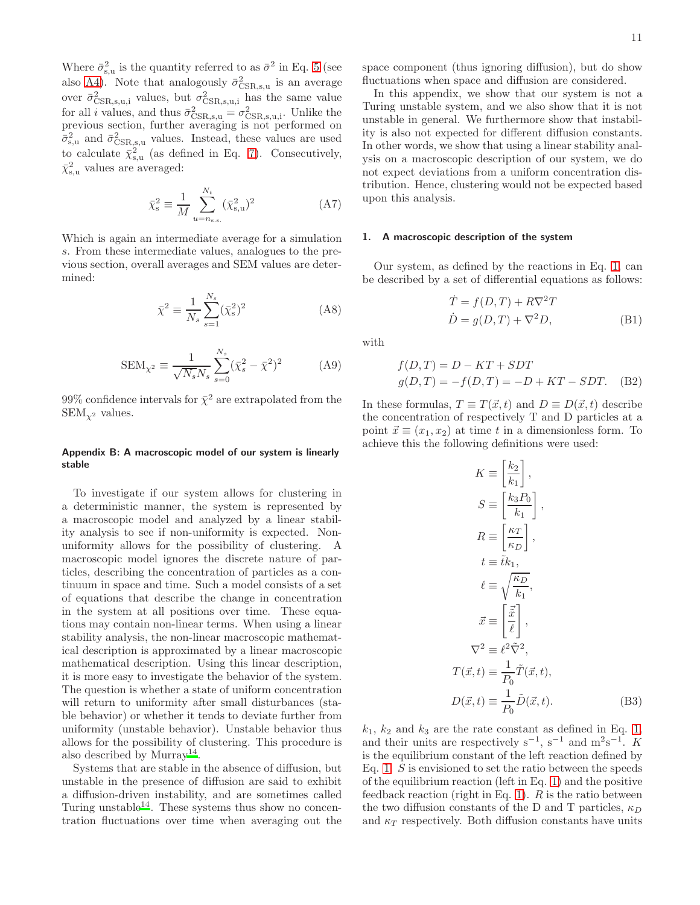Where  $\bar{\sigma}_{s,u}^2$  is the quantity referred to as  $\bar{\sigma}^2$  in Eq. [5](#page-5-1) (see also [A4\)](#page-9-1). Note that analogously  $\bar{\sigma}_{\text{CSR},s,u}^2$  is an average over  $\bar{\sigma}_{\text{CSR,s,u,i}}^2$  values, but  $\sigma_{\text{CSR,s,u,i}}^2$  has the same value for all *i* values, and thus  $\bar{\sigma}_{\text{CSR},s,u}^2 = \sigma_{\text{CSR},s,u,i}^2$ . Unlike the previous section, further averaging is not performed on  $\bar{\sigma}_{s,u}^2$  and  $\bar{\sigma}_{\text{CSR,s,u}}^2$  values. Instead, these values are used to calculate  $\bar{\chi}_{s,u}^2$  (as defined in Eq. [7\)](#page-5-3). Consecutively,  $\bar{\chi}_{s,u}^2$  values are averaged:

$$
\bar{\chi}_{\rm s}^2 \equiv \frac{1}{M} \sum_{u=n_{\rm s.s.}}^{N_t} (\bar{\chi}_{\rm s,u}^2)^2
$$
 (A7)

Which is again an intermediate average for a simulation s. From these intermediate values, analogues to the previous section, overall averages and SEM values are determined:

$$
\bar{\chi}^2 \equiv \frac{1}{N_s} \sum_{s=1}^{N_s} (\bar{\chi}_s^2)^2
$$
 (A8)

$$
SEM_{\chi^2} \equiv \frac{1}{\sqrt{N_s}N_s} \sum_{s=0}^{N_s} (\bar{\chi}_s^2 - \bar{\chi}^2)^2
$$
 (A9)

99% confidence intervals for  $\bar{\chi}^2$  are extrapolated from the  $SEM_{\chi^2}$  values.

## <span id="page-10-0"></span>Appendix B: A macroscopic model of our system is linearly stable

To investigate if our system allows for clustering in a deterministic manner, the system is represented by a macroscopic model and analyzed by a linear stability analysis to see if non-uniformity is expected. Nonuniformity allows for the possibility of clustering. A macroscopic model ignores the discrete nature of particles, describing the concentration of particles as a continuum in space and time. Such a model consists of a set of equations that describe the change in concentration in the system at all positions over time. These equations may contain non-linear terms. When using a linear stability analysis, the non-linear macroscopic mathematical description is approximated by a linear macroscopic mathematical description. Using this linear description, it is more easy to investigate the behavior of the system. The question is whether a state of uniform concentration will return to uniformity after small disturbances (stable behavior) or whether it tends to deviate further from uniformity (unstable behavior). Unstable behavior thus allows for the possibility of clustering. This procedure is also described by  $Murray<sup>14</sup>$  $Murray<sup>14</sup>$  $Murray<sup>14</sup>$ .

Systems that are stable in the absence of diffusion, but unstable in the presence of diffusion are said to exhibit a diffusion-driven instability, and are sometimes called Turing unstable<sup>[14](#page-13-10)</sup>. These systems thus show no concentration fluctuations over time when averaging out the

space component (thus ignoring diffusion), but do show fluctuations when space and diffusion are considered.

In this appendix, we show that our system is not a Turing unstable system, and we also show that it is not unstable in general. We furthermore show that instability is also not expected for different diffusion constants. In other words, we show that using a linear stability analysis on a macroscopic description of our system, we do not expect deviations from a uniform concentration distribution. Hence, clustering would not be expected based upon this analysis.

## 1. A macroscopic description of the system

Our system, as defined by the reactions in Eq. [1,](#page-2-0) can be described by a set of differential equations as follows:

<span id="page-10-1"></span>
$$
\dot{T} = f(D, T) + R\nabla^2 T
$$
  
\n
$$
\dot{D} = g(D, T) + \nabla^2 D,
$$
 (B1)

with

<span id="page-10-2"></span>
$$
f(D,T) = D - KT + SDT
$$
  

$$
g(D,T) = -f(D,T) = -D + KT - SDT.
$$
 (B2)

In these formulas,  $T \equiv T(\vec{x}, t)$  and  $D \equiv D(\vec{x}, t)$  describe the concentration of respectively T and D particles at a point  $\vec{x} \equiv (x_1, x_2)$  at time t in a dimensionless form. To achieve this the following definitions were used:

$$
K \equiv \left[\frac{k_2}{k_1}\right],
$$
  
\n
$$
S \equiv \left[\frac{k_3 P_0}{k_1}\right],
$$
  
\n
$$
R \equiv \left[\frac{\kappa_T}{\kappa_D}\right],
$$
  
\n
$$
t \equiv \tilde{t}k_1,
$$
  
\n
$$
\ell \equiv \sqrt{\frac{\kappa_D}{k_1}},
$$
  
\n
$$
\vec{x} \equiv \left[\frac{\vec{x}}{\ell}\right],
$$
  
\n
$$
\nabla^2 \equiv \ell^2 \tilde{\nabla}^2,
$$
  
\n
$$
T(\vec{x}, t) \equiv \frac{1}{P_0} \tilde{T}(\vec{x}, t),
$$
  
\n
$$
D(\vec{x}, t) \equiv \frac{1}{P_0} \tilde{D}(\vec{x}, t).
$$
 (B3)

 $k_1, k_2$  and  $k_3$  are the rate constant as defined in Eq. [1,](#page-2-0) and their units are respectively  $s^{-1}$ ,  $s^{-1}$  and  $m^2 s^{-1}$ . K is the equilibrium constant of the left reaction defined by Eq. [1.](#page-2-0) S is envisioned to set the ratio between the speeds of the equilibrium reaction (left in Eq. [1\)](#page-2-0) and the positive feedback reaction (right in Eq. [1\)](#page-2-0).  $R$  is the ratio between the two diffusion constants of the D and T particles,  $\kappa_D$ and  $\kappa_T$  respectively. Both diffusion constants have units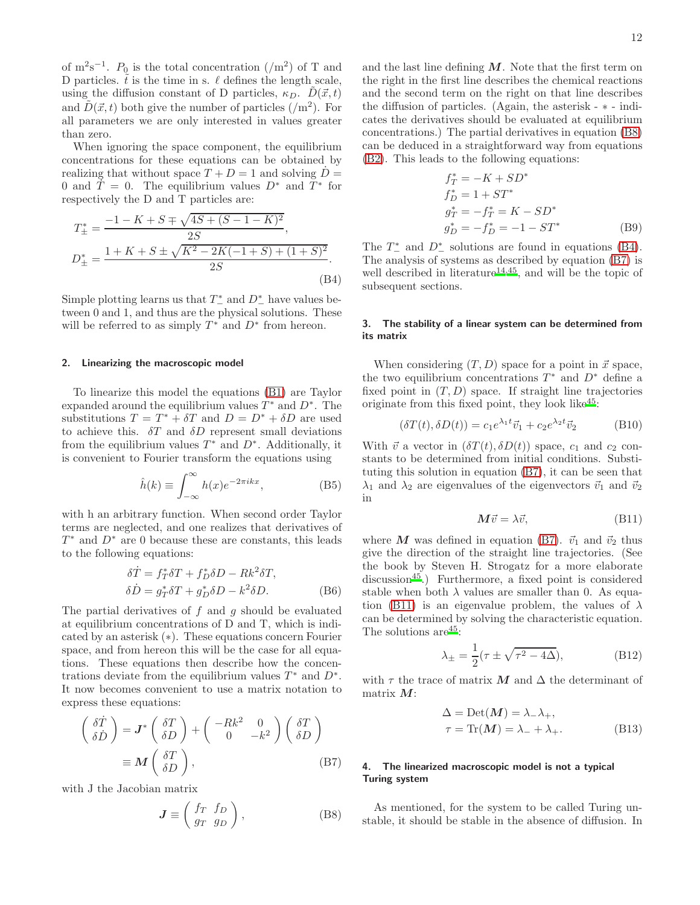of  $m^2s^{-1}$ .  $P_0$  is the total concentration  $(/m^2)$  of T and D particles.  $\tilde{t}$  is the time in s.  $\ell$  defines the length scale, using the diffusion constant of D particles,  $\kappa_D$ .  $\hat{D}(\vec{x}, t)$ and  $\tilde{D}(\vec{x},t)$  both give the number of particles  $\mathcal{O}(m^2)$ . For all parameters we are only interested in values greater than zero.

When ignoring the space component, the equilibrium concentrations for these equations can be obtained by realizing that without space  $T + D = 1$  and solving  $\dot{D} =$ 0 and  $\overrightarrow{T} = 0$ . The equilibrium values  $D^*$  and  $\overrightarrow{T}^*$  for respectively the D and T particles are:

<span id="page-11-1"></span>
$$
T_{\pm}^{*} = \frac{-1 - K + S \mp \sqrt{4S + (S - 1 - K)^{2}}}{2S},
$$
  
\n
$$
D_{\pm}^{*} = \frac{1 + K + S \pm \sqrt{K^{2} - 2K(-1 + S) + (1 + S)^{2}}}{2S}.
$$
\n(B4)

Simple plotting learns us that  $T^*_-$  and  $D^*_-$  have values between 0 and 1, and thus are the physical solutions. These will be referred to as simply  $T^*$  and  $D^*$  from hereon.

## 2. Linearizing the macroscopic model

To linearize this model the equations [\(B1\)](#page-10-1) are Taylor expanded around the equilibrium values  $T^*$  and  $D^*$ . The substitutions  $T = T^* + \delta T$  and  $D = D^* + \delta D$  are used to achieve this.  $\delta T$  and  $\delta D$  represent small deviations from the equilibrium values  $T^*$  and  $D^*$ . Additionally, it is convenient to Fourier transform the equations using

$$
\hat{h}(k) \equiv \int_{-\infty}^{\infty} h(x)e^{-2\pi ikx},
$$
\n(B5)

with h an arbitrary function. When second order Taylor terms are neglected, and one realizes that derivatives of  $T^*$  and  $D^*$  are 0 because these are constants, this leads to the following equations:

$$
\delta \dot{T} = f_T^* \delta T + f_D^* \delta D - Rk^2 \delta T,
$$
  
\n
$$
\delta \dot{D} = g_T^* \delta T + g_D^* \delta D - k^2 \delta D.
$$
 (B6)

The partial derivatives of  $f$  and  $q$  should be evaluated at equilibrium concentrations of D and T, which is indicated by an asterisk (∗). These equations concern Fourier space, and from hereon this will be the case for all equations. These equations then describe how the concentrations deviate from the equilibrium values  $T^*$  and  $D^*$ . It now becomes convenient to use a matrix notation to express these equations:

<span id="page-11-2"></span>
$$
\begin{pmatrix}\n\delta \dot{T} \\
\delta \dot{D}\n\end{pmatrix} = \mathbf{J}^* \begin{pmatrix}\n\delta T \\
\delta D\n\end{pmatrix} + \begin{pmatrix}\n-Rk^2 & 0 \\
0 & -k^2\n\end{pmatrix} \begin{pmatrix}\n\delta T \\
\delta D\n\end{pmatrix}
$$
\n
$$
\equiv \mathbf{M} \begin{pmatrix}\n\delta T \\
\delta D\n\end{pmatrix},
$$
\n(B7)

with J the Jacobian matrix

<span id="page-11-0"></span>
$$
\mathbf{J} \equiv \left( \begin{array}{cc} f_T & f_D \\ g_T & g_D \end{array} \right), \tag{B8}
$$

and the last line defining  $M$ . Note that the first term on the right in the first line describes the chemical reactions and the second term on the right on that line describes the diffusion of particles. (Again, the asterisk - ∗ - indicates the derivatives should be evaluated at equilibrium concentrations.) The partial derivatives in equation [\(B8\)](#page-11-0) can be deduced in a straightforward way from equations [\(B2\)](#page-10-2). This leads to the following equations:

<span id="page-11-6"></span>
$$
f_T^* = -K + SD^*
$$
  
\n
$$
f_D^* = 1 + ST^*
$$
  
\n
$$
g_T^* = -f_T^* = K - SD^*
$$
  
\n
$$
g_D^* = -f_D^* = -1 - ST^*
$$
\n(B9)

The  $T_{-}^{*}$  and  $D_{-}^{*}$  solutions are found in equations [\(B4\)](#page-11-1). The analysis of systems as described by equation [\(B7\)](#page-11-2) is well described in literature<sup>[14](#page-13-10)[,45](#page-13-41)</sup>, and will be the topic of subsequent sections.

## 3. The stability of a linear system can be determined from its matrix

When considering  $(T, D)$  space for a point in  $\vec{x}$  space, the two equilibrium concentrations  $T^*$  and  $D^*$  define a fixed point in  $(T, D)$  space. If straight line trajectories originate from this fixed point, they look like<sup>[45](#page-13-41)</sup>:

$$
(\delta T(t), \delta D(t)) = c_1 e^{\lambda_1 t} \vec{v}_1 + c_2 e^{\lambda_2 t} \vec{v}_2 \tag{B10}
$$

With  $\vec{v}$  a vector in  $(\delta T(t), \delta D(t))$  space,  $c_1$  and  $c_2$  constants to be determined from initial conditions. Substituting this solution in equation [\(B7\)](#page-11-2), it can be seen that  $\lambda_1$  and  $\lambda_2$  are eigenvalues of the eigenvectors  $\vec{v}_1$  and  $\vec{v}_2$ in

<span id="page-11-3"></span>
$$
M\vec{v} = \lambda \vec{v},\tag{B11}
$$

where M was defined in equation [\(B7\)](#page-11-2).  $\vec{v}_1$  and  $\vec{v}_2$  thus give the direction of the straight line trajectories. (See the book by Steven H. Strogatz for a more elaborate discussion<sup>[45](#page-13-41)</sup>.) Furthermore, a fixed point is considered stable when both  $\lambda$  values are smaller than 0. As equa-tion [\(B11\)](#page-11-3) is an eigenvalue problem, the values of  $\lambda$ can be determined by solving the characteristic equation. The solutions  $are^{45}$  $are^{45}$  $are^{45}$ :

<span id="page-11-5"></span>
$$
\lambda_{\pm} = \frac{1}{2} (\tau \pm \sqrt{\tau^2 - 4\Delta}), \tag{B12}
$$

with  $\tau$  the trace of matrix M and  $\Delta$  the determinant of matrix M:

<span id="page-11-4"></span>
$$
\Delta = \text{Det}(\boldsymbol{M}) = \lambda_{-}\lambda_{+},
$$
  
\n
$$
\tau = \text{Tr}(\boldsymbol{M}) = \lambda_{-} + \lambda_{+}.
$$
 (B13)

# 4. The linearized macroscopic model is not a typical Turing system

As mentioned, for the system to be called Turing unstable, it should be stable in the absence of diffusion. In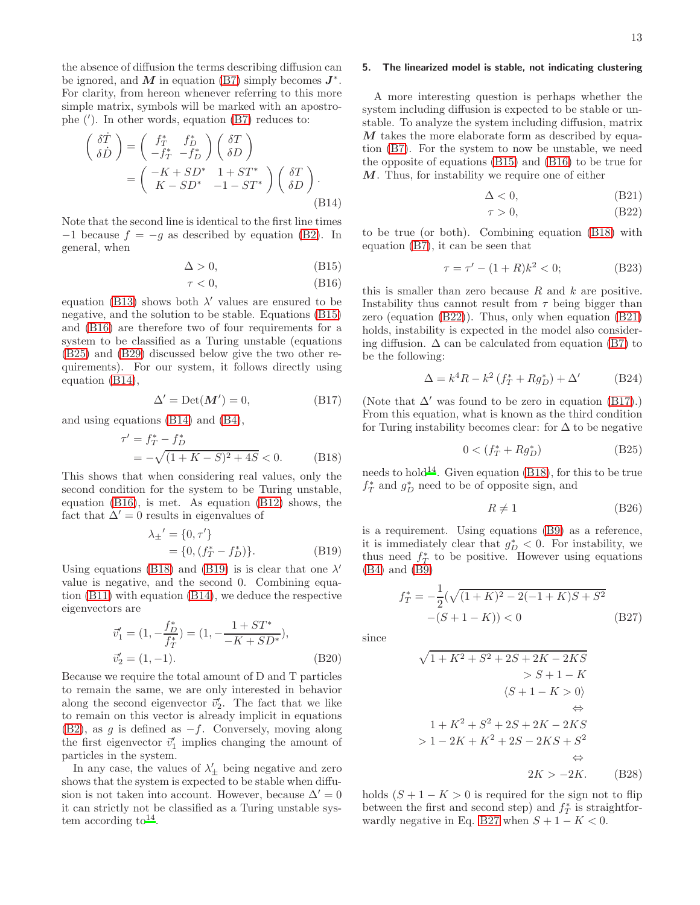the absence of diffusion the terms describing diffusion can be ignored, and M in equation [\(B7\)](#page-11-2) simply becomes  $J^*$ . For clarity, from hereon whenever referring to this more simple matrix, symbols will be marked with an apostrophe (′ ). In other words, equation [\(B7\)](#page-11-2) reduces to:

<span id="page-12-2"></span>
$$
\begin{pmatrix}\n\delta \dot{T} \\
\delta \dot{D}\n\end{pmatrix} = \begin{pmatrix}\nf_{T}^{*} & f_{D}^{*} \\
-f_{T}^{*} & -f_{D}^{*}\n\end{pmatrix} \begin{pmatrix}\n\delta T \\
\delta D\n\end{pmatrix}
$$
\n
$$
= \begin{pmatrix}\n-K + SD^{*} & 1 + ST^{*} \\
K - SD^{*} & -1 - ST^{*}\n\end{pmatrix} \begin{pmatrix}\n\delta T \\
\delta D\n\end{pmatrix}.
$$
\n(B14)

Note that the second line is identical to the first line times  $-1$  because  $f = -g$  as described by equation [\(B2\)](#page-10-2). In general, when

<span id="page-12-0"></span>
$$
\Delta > 0,\tag{B15}
$$

$$
\tau < 0,\tag{B16}
$$

equation [\(B13\)](#page-11-4) shows both  $\lambda'$  values are ensured to be negative, and the solution to be stable. Equations [\(B15\)](#page-12-0) and [\(B16\)](#page-12-0) are therefore two of four requirements for a system to be classified as a Turing unstable (equations [\(B25\)](#page-12-1) and [\(B29\)](#page-13-42) discussed below give the two other requirements). For our system, it follows directly using equation [\(B14\)](#page-12-2),

<span id="page-12-6"></span>
$$
\Delta' = \text{Det}(\mathbf{M}') = 0,\tag{B17}
$$

and using equations [\(B14\)](#page-12-2) and [\(B4\)](#page-11-1),

<span id="page-12-3"></span>
$$
\tau' = f_T^* - f_D^*
$$
  
=  $-\sqrt{(1+K-S)^2 + 4S} < 0.$  (B18)

This shows that when considering real values, only the second condition for the system to be Turing unstable, equation [\(B16\)](#page-12-0), is met. As equation [\(B12\)](#page-11-5) shows, the fact that  $\Delta' = 0$  results in eigenvalues of

<span id="page-12-4"></span>
$$
\lambda_{\pm}' = \{0, \tau'\} = \{0, (f_T^* - f_D^*)\}.
$$
 (B19)

Using equations [\(B18\)](#page-12-3) and [\(B19\)](#page-12-4) is is clear that one  $\lambda'$ value is negative, and the second 0. Combining equation [\(B11\)](#page-11-3) with equation [\(B14\)](#page-12-2), we deduce the respective eigenvectors are

$$
\begin{aligned} \vec{v}'_1 &= (1, -\frac{f_D^*}{f_T^*}) = (1, -\frac{1+ST^*}{-K+SD^*}), \\ \vec{v}'_2 &= (1, -1). \end{aligned}
$$
 (B20)

Because we require the total amount of D and T particles to remain the same, we are only interested in behavior along the second eigenvector  $\vec{v}_2'$ . The fact that we like to remain on this vector is already implicit in equations [\(B2\)](#page-10-2), as g is defined as  $-f$ . Conversely, moving along the first eigenvector  $\vec{v}'_1$  implies changing the amount of particles in the system.

In any case, the values of  $\lambda'_{\pm}$  being negative and zero shows that the system is expected to be stable when diffusion is not taken into account. However, because  $\Delta' = 0$ it can strictly not be classified as a Turing unstable system according to  $14$ .

#### 5. The linearized model is stable, not indicating clustering

A more interesting question is perhaps whether the system including diffusion is expected to be stable or unstable. To analyze the system including diffusion, matrix M takes the more elaborate form as described by equation [\(B7\)](#page-11-2). For the system to now be unstable, we need the opposite of equations [\(B15\)](#page-12-0) and [\(B16\)](#page-12-0) to be true for  $M$ . Thus, for instability we require one of either

<span id="page-12-5"></span>
$$
\Delta < 0,\tag{B21}
$$

$$
\tau > 0,\tag{B22}
$$

to be true (or both). Combining equation [\(B18\)](#page-12-3) with equation [\(B7\)](#page-11-2), it can be seen that

$$
\tau = \tau' - (1 + R)k^2 < 0; \tag{B23}
$$

this is smaller than zero because  $R$  and  $k$  are positive. Instability thus cannot result from  $\tau$  being bigger than zero (equation [\(B22\)](#page-12-5)). Thus, only when equation [\(B21\)](#page-12-5) holds, instability is expected in the model also considering diffusion.  $\Delta$  can be calculated from equation [\(B7\)](#page-11-2) to be the following:

$$
\Delta = k^4 R - k^2 (f_T^* + Rg_D^*) + \Delta'
$$
 (B24)

(Note that  $\Delta'$  was found to be zero in equation [\(B17\)](#page-12-6).) From this equation, what is known as the third condition for Turing instability becomes clear: for  $\Delta$  to be negative

<span id="page-12-1"></span>
$$
0 < (f_T^* + Rg_D^*)
$$
 (B25)

needs to hold<sup>[14](#page-13-10)</sup>. Given equation [\(B18\)](#page-12-3), for this to be true  $f_T^*$  and  $g_D^*$  need to be of opposite sign, and

$$
R \neq 1\tag{B26}
$$

is a requirement. Using equations [\(B9\)](#page-11-6) as a reference, it is immediately clear that  $g_D^* < 0$ . For instability, we thus need  $f_T^*$  to be positive. However using equations [\(B4\)](#page-11-1) and [\(B9\)](#page-11-6)

<span id="page-12-7"></span>
$$
f_T^* = -\frac{1}{2}(\sqrt{(1+K)^2 - 2(-1+K)S + S^2} - (S+1-K)) < 0
$$
 (B27)

since

$$
\sqrt{1+K^2+S^2+2S+2K-2KS}
$$
\n
$$
>S+1-K
$$
\n
$$
\langle S+1-K>0 \rangle
$$
\n
$$
\Leftrightarrow
$$
\n
$$
1+K^2+S^2+2S+2K-2KS
$$
\n
$$
>1-2K+K^2+2S-2KS+S^2
$$
\n
$$
\Leftrightarrow
$$
\n
$$
2K>-2K.
$$
\n(B28)

holds  $(S + 1 - K > 0$  is required for the sign not to flip between the first and second step) and  $f_T^*$  is straightfor-wardly negative in Eq. [B27](#page-12-7) when  $S + 1 - K < 0$ .